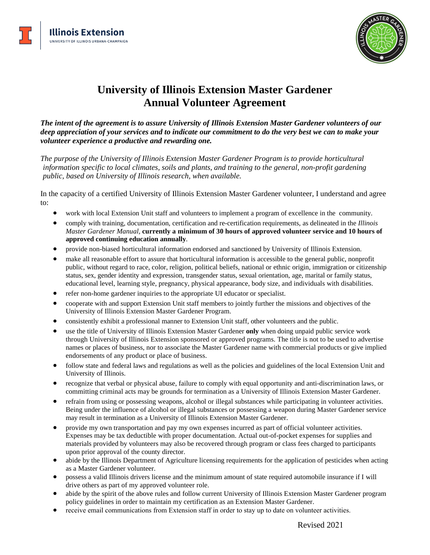



## **University of Illinois Extension Master Gardener Annual Volunteer Agreement**

*The intent of the agreement is to assure University of Illinois Extension Master Gardener volunteers of our deep appreciation of your services and to indicate our commitment to do the very best we can to make your volunteer experience a productive and rewarding one.*

*The purpose of the University of Illinois Extension Master Gardener Program is to provide horticultural information specific to local climates, soils and plants, and training to the general, non-profit gardening public, based on University of Illinois research, when available.*

In the capacity of a certified University of Illinois Extension Master Gardener volunteer, I understand and agree to:

- work with local Extension Unit staff and volunteers to implement a program of excellence in the community.
- comply with training, documentation, certification and re-certification requirements, as delineated in the *Illinois Master Gardener Manual,* **currently a minimum of 30 hours of approved volunteer service and 10 hours of approved continuing education annually**.
- provide non-biased horticultural information endorsed and sanctioned by University of Illinois Extension.
- make all reasonable effort to assure that horticultural information is accessible to the general public, nonprofit public, without regard to race, color, religion, political beliefs, national or ethnic origin, immigration or citizenship status, sex, gender identity and expression, transgender status, sexual orientation, age, marital or family status, educational level, learning style, pregnancy, physical appearance, body size, and individuals with disabilities.
- refer non-home gardener inquiries to the appropriate UI educator or specialist.
- cooperate with and support Extension Unit staff members to jointly further the missions and objectives of the University of Illinois Extension Master Gardener Program.
- consistently exhibit a professional manner to Extension Unit staff, other volunteers and the public.
- use the title of University of Illinois Extension Master Gardener **only** when doing unpaid public service work through University of Illinois Extension sponsored or approved programs. The title is not to be used to advertise names or places of business, nor to associate the Master Gardener name with commercial products or give implied endorsements of any product or place of business.
- follow state and federal laws and regulations as well as the policies and guidelines of the local Extension Unit and University of Illinois.
- recognize that verbal or physical abuse, failure to comply with equal opportunity and anti-discrimination laws, or committing criminal acts may be grounds for termination as a University of Illinois Extension Master Gardener.
- refrain from using or possessing weapons, alcohol or illegal substances while participating in volunteer activities. Being under the influence of alcohol or illegal substances or possessing a weapon during Master Gardener service may result in termination as a University of Illinois Extension Master Gardener.
- provide my own transportation and pay my own expenses incurred as part of official volunteer activities. Expenses may be tax deductible with proper documentation. Actual out-of-pocket expenses for supplies and materials provided by volunteers may also be recovered through program or class fees charged to participants upon prior approval of the county director.
- abide by the Illinois Department of Agriculture licensing requirements for the application of pesticides when acting as a Master Gardener volunteer.
- possess a valid Illinois drivers license and the minimum amount of state required automobile insurance if I will drive others as part of my approved volunteer role.
- abide by the spirit of the above rules and follow current University of Illinois Extension Master Gardener program policy guidelines in order to maintain my certification as an Extension Master Gardener.
- receive email communications from Extension staff in order to stay up to date on volunteer activities.